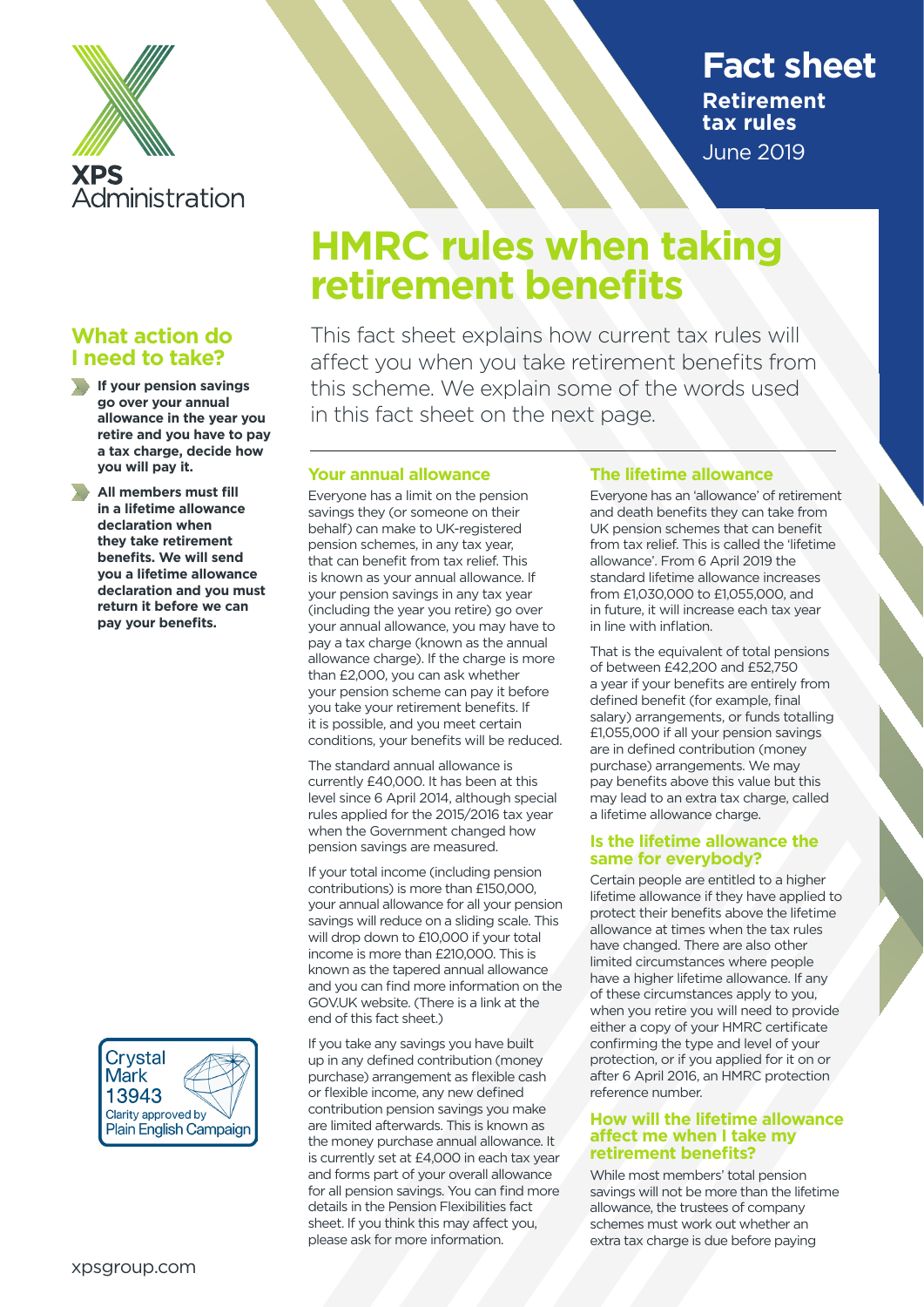

## **What action do I need to take?**

**If your pension savings go over your annual allowance in the year you retire and you have to pay a tax charge, decide how you will pay it.**

**All members must fill in a lifetime allowance declaration when they take retirement benefits. We will send you a lifetime allowance declaration and you must return it before we can pay your benefits.**



## **Fact sheet Retirement tax rules**  June 2019

# **HMRC rules when taking retirement benefits**

This fact sheet explains how current tax rules will affect you when you take retirement benefits from this scheme. We explain some of the words used in this fact sheet on the next page.

## **Your annual allowance**

Everyone has a limit on the pension savings they (or someone on their behalf) can make to UK-registered pension schemes, in any tax year, that can benefit from tax relief. This is known as your annual allowance. If your pension savings in any tax year (including the year you retire) go over your annual allowance, you may have to pay a tax charge (known as the annual allowance charge). If the charge is more than £2,000, you can ask whether your pension scheme can pay it before you take your retirement benefits. If it is possible, and you meet certain conditions, your benefits will be reduced.

The standard annual allowance is currently £40,000. It has been at this level since 6 April 2014, although special rules applied for the 2015/2016 tax year when the Government changed how pension savings are measured.

If your total income (including pension contributions) is more than £150,000, your annual allowance for all your pension savings will reduce on a sliding scale. This will drop down to £10,000 if your total income is more than £210,000. This is known as the tapered annual allowance and you can find more information on the GOV.UK website. (There is a link at the end of this fact sheet.)

If you take any savings you have built up in any defined contribution (money purchase) arrangement as flexible cash or flexible income, any new defined contribution pension savings you make are limited afterwards. This is known as the money purchase annual allowance. It is currently set at £4,000 in each tax year and forms part of your overall allowance for all pension savings. You can find more details in the Pension Flexibilities fact sheet. If you think this may affect you, please ask for more information.

## **The lifetime allowance**

Everyone has an 'allowance' of retirement and death benefits they can take from UK pension schemes that can benefit from tax relief. This is called the 'lifetime allowance'. From 6 April 2019 the standard lifetime allowance increases from £1,030,000 to £1,055,000, and in future, it will increase each tax year in line with inflation.

That is the equivalent of total pensions of between £42,200 and £52,750 a year if your benefits are entirely from defined benefit (for example, final salary) arrangements, or funds totalling £1,055,000 if all your pension savings are in defined contribution (money purchase) arrangements. We may pay benefits above this value but this may lead to an extra tax charge, called a lifetime allowance charge.

#### **Is the lifetime allowance the same for everybody?**

Certain people are entitled to a higher lifetime allowance if they have applied to protect their benefits above the lifetime allowance at times when the tax rules have changed. There are also other limited circumstances where people have a higher lifetime allowance. If any of these circumstances apply to you, when you retire you will need to provide either a copy of your HMRC certificate confirming the type and level of your protection, or if you applied for it on or after 6 April 2016, an HMRC protection reference number.

#### **How will the lifetime allowance affect me when I take my retirement benefits?**

While most members' total pension savings will not be more than the lifetime allowance, the trustees of company schemes must work out whether an extra tax charge is due before paying